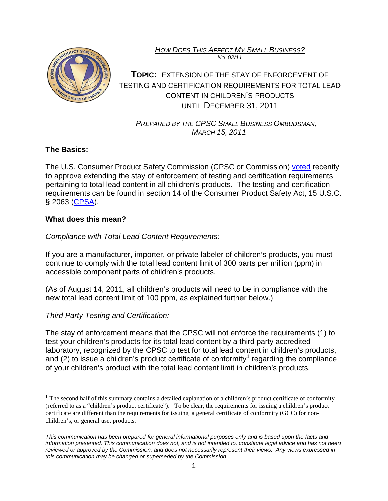*HOW DOES THIS AFFECT MY SMALL BUSINESS? NO. 02/11*



**TOPIC:** EXTENSION OF THE STAY OF ENFORCEMENT OF TESTING AND CERTIFICATION REQUIREMENTS FOR TOTAL LEAD CONTENT IN CHILDREN'S PRODUCTS UNTIL DECEMBER 31, 2011

 *PREPARED BY THE CPSC SMALL BUSINESS OMBUDSMAN, MARCH 15, 2011*

# **The Basics:**

The U.S. Consumer Product Safety Commission (CPSC or Commission) [voted](http://www.cpsc.gov/businfo/frnotices/fr11/stayleadrev.pdf) recently to approve extending the stay of enforcement of testing and certification requirements pertaining to total lead content in all children's products. The testing and certification requirements can be found in section 14 of the Consumer Product Safety Act, 15 U.S.C. § 2063 [\(CPSA\)](http://www.cpsc.gov/businfo/cpsa.pdf).

# **What does this mean?**

*Compliance with Total Lead Content Requirements:*

If you are a manufacturer, importer, or private labeler of children's products, you must continue to comply with the total lead content limit of 300 parts per million (ppm) in accessible component parts of children's products.

(As of August 14, 2011, all children's products will need to be in compliance with the new total lead content limit of 100 ppm, as explained further below.)

# *Third Party Testing and Certification:*

The stay of enforcement means that the CPSC will not enforce the requirements (1) to test your children's products for its total lead content by a third party accredited laboratory, recognized by the CPSC to test for total lead content in children's products, and (2) to issue a children's product certificate of conformity<sup>[1](#page-1-0)</sup> regarding the compliance of your children's product with the total lead content limit in children's products.

<sup>&</sup>lt;sup>1</sup> The second half of this summary contains a detailed explanation of a children's product certificate of conformity (referred to as a "children's product certificate"). To be clear, the requirements for issuing a children's product certificate are different than the requirements for issuing a general certificate of conformity (GCC) for nonchildren's, or general use, products.

*This communication has been prepared for general informational purposes only and is based upon the facts and information presented. This communication does not, and is not intended to, constitute legal advice and has not been reviewed or approved by the Commission, and does not necessarily represent their views. Any views expressed in this communication may be changed or superseded by the Commission.*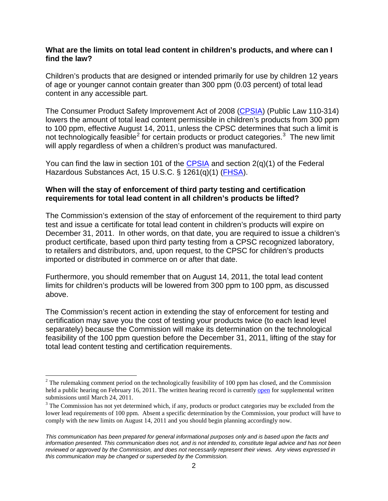#### **What are the limits on total lead content in children's products, and where can I find the law?**

Children's products that are designed or intended primarily for use by children 12 years of age or younger cannot contain greater than 300 ppm (0.03 percent) of total lead content in any accessible part.

The Consumer Product Safety Improvement Act of 2008 [\(CPSIA\)](http://www.cpsc.gov/cpsia.pdf) (Public Law 110-314) lowers the amount of total lead content permissible in children's products from 300 ppm to 100 ppm, effective August 14, 2011, unless the CPSC determines that such a limit is not technologically feasible<sup>[2](#page-1-1)</sup> for certain products or product categories.<sup>[3](#page-1-2)</sup> The new limit will apply regardless of when a children's product was manufactured.

You can find the law in section 101 of the [CPSIA](http://www.cpsc.gov/cpsia.pdf) and section 2(q)(1) of the Federal Hazardous Substances Act, 15 U.S.C. § 1261(q)(1) [\(FHSA\)](http://www.cpsc.gov/businfo/fhsa.pdf).

### **When will the stay of enforcement of third party testing and certification requirements for total lead content in all children's products be lifted?**

The Commission's extension of the stay of enforcement of the requirement to third party test and issue a certificate for total lead content in children's products will expire on December 31, 2011. In other words, on that date, you are required to issue a children's product certificate, based upon third party testing from a CPSC recognized laboratory, to retailers and distributors, and, upon request, to the CPSC for children's products imported or distributed in commerce on or after that date.

Furthermore, you should remember that on August 14, 2011, the total lead content limits for children's products will be lowered from 300 ppm to 100 ppm, as discussed above.

The Commission's recent action in extending the stay of enforcement for testing and certification may save you the cost of testing your products twice (to each lead level separately) because the Commission will make its determination on the technological feasibility of the 100 ppm question before the December 31, 2011, lifting of the stay for total lead content testing and certification requirements.

<span id="page-1-1"></span> $2$  The rulemaking comment period on the technologically feasibility of 100 ppm has closed, and the Commission held a public hearing on February 16, 2011. The written hearing record is currently [open](http://www.regulations.gov/#!documentDetail;D=CPSC-2010-0080-0032) for supplemental written submissions until March 24, 2011.

<span id="page-1-2"></span><span id="page-1-0"></span><sup>&</sup>lt;sup>3</sup> The Commission has not yet determined which, if any, products or product categories may be excluded from the lower lead requirements of 100 ppm. Absent a specific determination by the Commission, your product will have to comply with the new limits on August 14, 2011 and you should begin planning accordingly now.

*This communication has been prepared for general informational purposes only and is based upon the facts and information presented. This communication does not, and is not intended to, constitute legal advice and has not been reviewed or approved by the Commission, and does not necessarily represent their views. Any views expressed in this communication may be changed or superseded by the Commission.*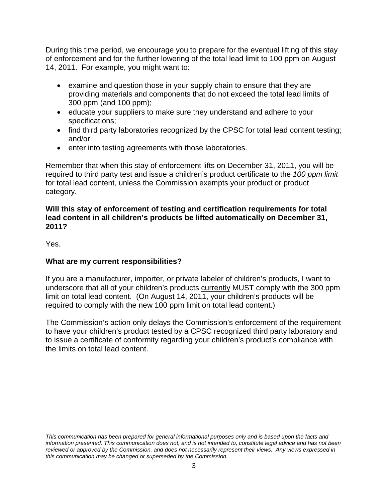During this time period, we encourage you to prepare for the eventual lifting of this stay of enforcement and for the further lowering of the total lead limit to 100 ppm on August 14, 2011. For example, you might want to:

- examine and question those in your supply chain to ensure that they are providing materials and components that do not exceed the total lead limits of 300 ppm (and 100 ppm);
- educate your suppliers to make sure they understand and adhere to your specifications;
- find third party laboratories recognized by the CPSC for total lead content testing; and/or
- enter into testing agreements with those laboratories.

Remember that when this stay of enforcement lifts on December 31, 2011, you will be required to third party test and issue a children's product certificate to the *100 ppm limit* for total lead content, unless the Commission exempts your product or product category.

### **Will this stay of enforcement of testing and certification requirements for total lead content in all children's products be lifted automatically on December 31, 2011?**

Yes.

## **What are my current responsibilities?**

If you are a manufacturer, importer, or private labeler of children's products, I want to underscore that all of your children's products currently MUST comply with the 300 ppm limit on total lead content. (On August 14, 2011, your children's products will be required to comply with the new 100 ppm limit on total lead content.)

The Commission's action only delays the Commission's enforcement of the requirement to have your children's product tested by a CPSC recognized third party laboratory and to issue a certificate of conformity regarding your children's product's compliance with the limits on total lead content.

*This communication has been prepared for general informational purposes only and is based upon the facts and information presented. This communication does not, and is not intended to, constitute legal advice and has not been reviewed or approved by the Commission, and does not necessarily represent their views. Any views expressed in this communication may be changed or superseded by the Commission.*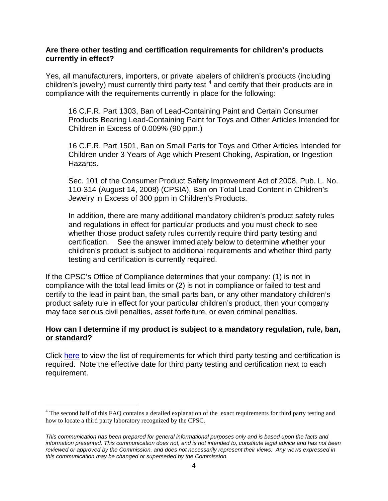#### **Are there other testing and certification requirements for children's products currently in effect?**

Yes, all manufacturers, importers, or private labelers of children's products (including children's jewelry) must currently third party test  $4$  and certify that their products are in compliance with the requirements currently in place for the following:

16 C.F.R. Part 1303, Ban of Lead-Containing Paint and Certain Consumer Products Bearing Lead-Containing Paint for Toys and Other Articles Intended for Children in Excess of 0.009% (90 ppm.)

16 C.F.R. Part 1501, Ban on Small Parts for Toys and Other Articles Intended for Children under 3 Years of Age which Present Choking, Aspiration, or Ingestion Hazards.

Sec. 101 of the Consumer Product Safety Improvement Act of 2008, Pub. L. No. 110-314 (August 14, 2008) (CPSIA), Ban on Total Lead Content in Children's Jewelry in Excess of 300 ppm in Children's Products.

In addition, there are many additional mandatory children's product safety rules and regulations in effect for particular products and you must check to see whether those product safety rules currently require third party testing and certification. See the answer immediately below to determine whether your children's product is subject to additional requirements and whether third party testing and certification is currently required.

If the CPSC's Office of Compliance determines that your company: (1) is not in compliance with the total lead limits or (2) is not in compliance or failed to test and certify to the lead in paint ban, the small parts ban, or any other mandatory children's product safety rule in effect for your particular children's product, then your company may face serious civil penalties, asset forfeiture, or even criminal penalties.

### **How can I determine if my product is subject to a mandatory regulation, rule, ban, or standard?**

Click [here](http://www.cpsc.gov/about/cpsia/reqstay.html) to view the list of requirements for which third party testing and certification is required. Note the effective date for third party testing and certification next to each requirement.

<sup>&</sup>lt;sup>4</sup> The second half of this FAQ contains a detailed explanation of the exact requirements for third party testing and how to locate a third party laboratory recognized by the CPSC.

*This communication has been prepared for general informational purposes only and is based upon the facts and information presented. This communication does not, and is not intended to, constitute legal advice and has not been reviewed or approved by the Commission, and does not necessarily represent their views. Any views expressed in this communication may be changed or superseded by the Commission.*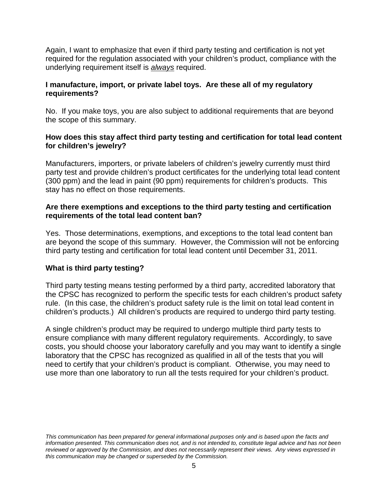Again, I want to emphasize that even if third party testing and certification is not yet required for the regulation associated with your children's product, compliance with the underlying requirement itself is *always* required.

## **I manufacture, import, or private label toys. Are these all of my regulatory requirements?**

No. If you make toys, you are also subject to additional requirements that are beyond the scope of this summary.

### **How does this stay affect third party testing and certification for total lead content for children's jewelry?**

Manufacturers, importers, or private labelers of children's jewelry currently must third party test and provide children's product certificates for the underlying total lead content (300 ppm) and the lead in paint (90 ppm) requirements for children's products. This stay has no effect on those requirements.

### **Are there exemptions and exceptions to the third party testing and certification requirements of the total lead content ban?**

Yes. Those determinations, exemptions, and exceptions to the total lead content ban are beyond the scope of this summary. However, the Commission will not be enforcing third party testing and certification for total lead content until December 31, 2011.

## **What is third party testing?**

Third party testing means testing performed by a third party, accredited laboratory that the CPSC has recognized to perform the specific tests for each children's product safety rule. (In this case, the children's product safety rule is the limit on total lead content in children's products.) All children's products are required to undergo third party testing.

A single children's product may be required to undergo multiple third party tests to ensure compliance with many different regulatory requirements. Accordingly, to save costs, you should choose your laboratory carefully and you may want to identify a single laboratory that the CPSC has recognized as qualified in all of the tests that you will need to certify that your children's product is compliant. Otherwise, you may need to use more than one laboratory to run all the tests required for your children's product.

<span id="page-4-0"></span>*This communication has been prepared for general informational purposes only and is based upon the facts and information presented. This communication does not, and is not intended to, constitute legal advice and has not been reviewed or approved by the Commission, and does not necessarily represent their views. Any views expressed in this communication may be changed or superseded by the Commission.*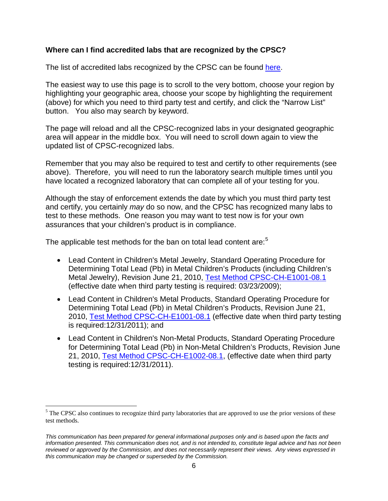### **Where can I find accredited labs that are recognized by the CPSC?**

The list of accredited labs recognized by the CPSC can be found [here.](http://www.cpsc.gov/cgi-bin/labsearch/Default.aspx)

The easiest way to use this page is to scroll to the very bottom, choose your region by highlighting your geographic area, choose your scope by highlighting the requirement (above) for which you need to third party test and certify, and click the "Narrow List" button. You also may search by keyword.

The page will reload and all the CPSC-recognized labs in your designated geographic area will appear in the middle box. You will need to scroll down again to view the updated list of CPSC-recognized labs.

Remember that you may also be required to test and certify to other requirements (see above). Therefore, you will need to run the laboratory search multiple times until you have located a recognized laboratory that can complete all of your testing for you.

Although the stay of enforcement extends the date by which you must third party test and certify, you certainly *may* do so now, and the CPSC has recognized many labs to test to these methods. One reason you may want to test now is for your own assurances that your children's product is in compliance.

The applicable test methods for the ban on total lead content are:<sup>[5](#page-7-0)</sup>

- Lead Content in Children's Metal Jewelry, Standard Operating Procedure for Determining Total Lead (Pb) in Metal Children's Products (including Children's Metal Jewelry), Revision June 21, 2010, [Test Method CPSC-CH-E1001-08.1](http://www.cpsc.gov/about/cpsia/CPSC-CH-E1001-08_1.pdf) (effective date when third party testing is required: 03/23/2009);
- Lead Content in Children's Metal Products, Standard Operating Procedure for Determining Total Lead (Pb) in Metal Children's Products, Revision June 21, 2010, [Test Method CPSC-CH-E1001-08.1](http://www.cpsc.gov/about/cpsia/CPSC-CH-E1001-08_1.pdf) (effective date when third party testing is required:12/31/2011); and
- Lead Content in Children's Non-Metal Products, Standard Operating Procedure for Determining Total Lead (Pb) in Non-Metal Children's Products, Revision June 21, 2010, [Test Method CPSC-CH-E1002-08.1,](http://www.cpsc.gov/about/cpsia/CPSC-CH-E1002-08_1.pdf) (effective date when third party testing is required:12/31/2011).

 $<sup>5</sup>$  The CPSC also continues to recognize third party laboratories that are approved to use the prior versions of these</sup> test methods.

*This communication has been prepared for general informational purposes only and is based upon the facts and information presented. This communication does not, and is not intended to, constitute legal advice and has not been reviewed or approved by the Commission, and does not necessarily represent their views. Any views expressed in this communication may be changed or superseded by the Commission.*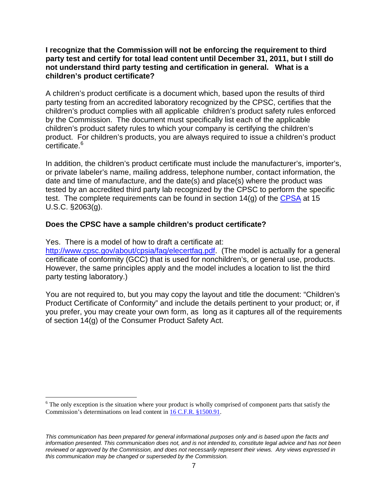#### **I recognize that the Commission will not be enforcing the requirement to third party test and certify for total lead content until December 31, 2011, but I still do not understand third party testing and certification in general. What is a children's product certificate?**

A children's product certificate is a document which, based upon the results of third party testing from an accredited laboratory recognized by the CPSC, certifies that the children's product complies with all applicable children's product safety rules enforced by the Commission. The document must specifically list each of the applicable children's product safety rules to which your company is certifying the children's product. For children's products, you are always required to issue a children's product certificate. [6](#page-9-0)

In addition, the children's product certificate must include the manufacturer's, importer's, or private labeler's name, mailing address, telephone number, contact information, the date and time of manufacture, and the date(s) and place(s) where the product was tested by an accredited third party lab recognized by the CPSC to perform the specific test. The complete requirements can be found in section  $14(g)$  of the [CPSA](http://www.cpsc.gov/businfo/cpsa.pdf) at 15 U.S.C. §2063(g).

## **Does the CPSC have a sample children's product certificate?**

Yes. There is a model of how to draft a certificate at:

[http://www.cpsc.gov/about/cpsia/faq/elecertfaq.pdf.](http://www.cpsc.gov/about/cpsia/faq/elecertfaq.pdf) (The model is actually for a general certificate of conformity (GCC) that is used for nonchildren's, or general use, products. However, the same principles apply and the model includes a location to list the third party testing laboratory.)

You are not required to, but you may copy the layout and title the document: "Children's Product Certificate of Conformity" and include the details pertinent to your product; or, if you prefer, you may create your own form, as long as it captures all of the requirements of section 14(g) of the Consumer Product Safety Act.

 $6$  The only exception is the situation where your product is wholly comprised of component parts that satisfy the Commission's determinations on lead content in [16 C.F.R. §1500.91.](http://edocket.access.gpo.gov/cfr_2010/janqtr/pdf/16cfr1500.91.pdf)

*This communication has been prepared for general informational purposes only and is based upon the facts and information presented. This communication does not, and is not intended to, constitute legal advice and has not been reviewed or approved by the Commission, and does not necessarily represent their views. Any views expressed in this communication may be changed or superseded by the Commission.*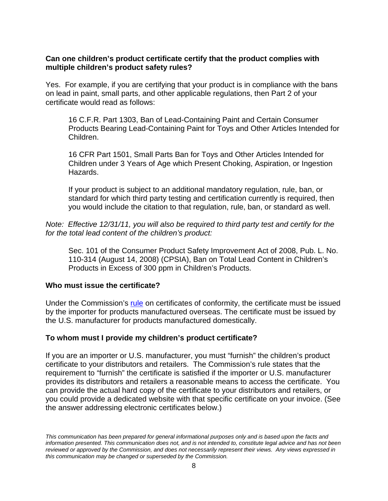### **Can one children's product certificate certify that the product complies with multiple children's product safety rules?**

Yes. For example, if you are certifying that your product is in compliance with the bans on lead in paint, small parts, and other applicable regulations, then Part 2 of your certificate would read as follows:

16 C.F.R. Part 1303, Ban of Lead-Containing Paint and Certain Consumer Products Bearing Lead-Containing Paint for Toys and Other Articles Intended for Children.

16 CFR Part 1501, Small Parts Ban for Toys and Other Articles Intended for Children under 3 Years of Age which Present Choking, Aspiration, or Ingestion Hazards.

If your product is subject to an additional mandatory regulation, rule, ban, or standard for which third party testing and certification currently is required, then you would include the citation to that regulation, rule, ban, or standard as well.

*Note: Effective 12/31/11, you will also be required to third party test and certify for the for the total lead content of the children's product:*

Sec. 101 of the Consumer Product Safety Improvement Act of 2008, Pub. L. No. 110-314 (August 14, 2008) (CPSIA), Ban on Total Lead Content in Children's Products in Excess of 300 ppm in Children's Products.

### **Who must issue the certificate?**

Under the Commission's [rule](http://www.cpsc.gov/businfo/frnotices/fr09/certification.pdf) on certificates of conformity, the certificate must be issued by the importer for products manufactured overseas. The certificate must be issued by the U.S. manufacturer for products manufactured domestically.

### **To whom must I provide my children's product certificate?**

If you are an importer or U.S. manufacturer, you must "furnish" the children's product certificate to your distributors and retailers. The Commission's rule states that the requirement to "furnish" the certificate is satisfied if the importer or U.S. manufacturer provides its distributors and retailers a reasonable means to access the certificate. You can provide the actual hard copy of the certificate to your distributors and retailers, or you could provide a dedicated website with that specific certificate on your invoice. (See the answer addressing electronic certificates below.)

<span id="page-7-0"></span>*This communication has been prepared for general informational purposes only and is based upon the facts and information presented. This communication does not, and is not intended to, constitute legal advice and has not been reviewed or approved by the Commission, and does not necessarily represent their views. Any views expressed in this communication may be changed or superseded by the Commission.*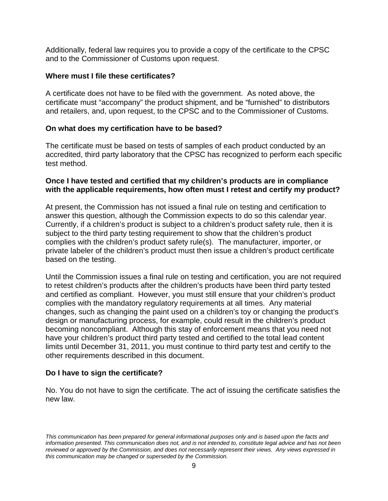Additionally, federal law requires you to provide a copy of the certificate to the CPSC and to the Commissioner of Customs upon request.

#### **Where must I file these certificates?**

A certificate does not have to be filed with the government. As noted above, the certificate must "accompany" the product shipment, and be "furnished" to distributors and retailers, and, upon request, to the CPSC and to the Commissioner of Customs.

#### **On what does my certification have to be based?**

The certificate must be based on tests of samples of each product conducted by an accredited, third party laboratory that the CPSC has recognized to perform each specific test method.

#### **Once I have tested and certified that my children's products are in compliance with the applicable requirements, how often must I retest and certify my product?**

At present, the Commission has not issued a final rule on testing and certification to answer this question, although the Commission expects to do so this calendar year. Currently, if a children's product is subject to a children's product safety rule, then it is subject to the third party testing requirement to show that the children's product complies with the children's product safety rule(s). The manufacturer, importer, or private labeler of the children's product must then issue a children's product certificate based on the testing.

Until the Commission issues a final rule on testing and certification, you are not required to retest children's products after the children's products have been third party tested and certified as compliant. However, you must still ensure that your children's product complies with the mandatory regulatory requirements at all times. Any material changes, such as changing the paint used on a children's toy or changing the product's design or manufacturing process, for example, could result in the children's product becoming noncompliant. Although this stay of enforcement means that you need not have your children's product third party tested and certified to the total lead content limits until December 31, 2011, you must continue to third party test and certify to the other requirements described in this document.

### **Do I have to sign the certificate?**

No. You do not have to sign the certificate. The act of issuing the certificate satisfies the new law.

*This communication has been prepared for general informational purposes only and is based upon the facts and information presented. This communication does not, and is not intended to, constitute legal advice and has not been reviewed or approved by the Commission, and does not necessarily represent their views. Any views expressed in this communication may be changed or superseded by the Commission.*